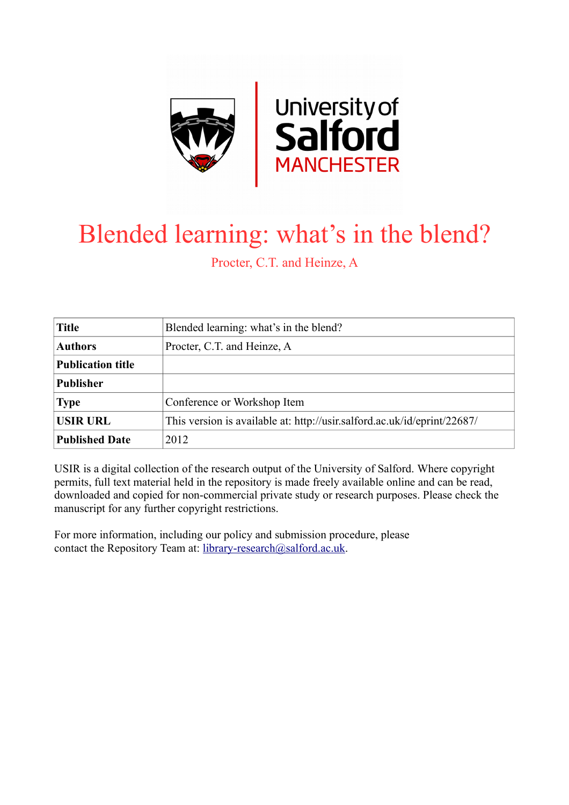

## Blended learning: what's in the blend?

Procter, C.T. and Heinze, A

| <b>Title</b>             | Blended learning: what's in the blend?                                   |
|--------------------------|--------------------------------------------------------------------------|
| <b>Authors</b>           | Procter, C.T. and Heinze, A.                                             |
| <b>Publication title</b> |                                                                          |
| <b>Publisher</b>         |                                                                          |
| <b>Type</b>              | Conference or Workshop Item                                              |
| <b>USIR URL</b>          | This version is available at: http://usir.salford.ac.uk/id/eprint/22687/ |
| <b>Published Date</b>    | 2012                                                                     |

USIR is a digital collection of the research output of the University of Salford. Where copyright permits, full text material held in the repository is made freely available online and can be read, downloaded and copied for non-commercial private study or research purposes. Please check the manuscript for any further copyright restrictions.

For more information, including our policy and submission procedure, please contact the Repository Team at: [library-research@salford.ac.uk.](mailto:library-research@salford.ac.uk)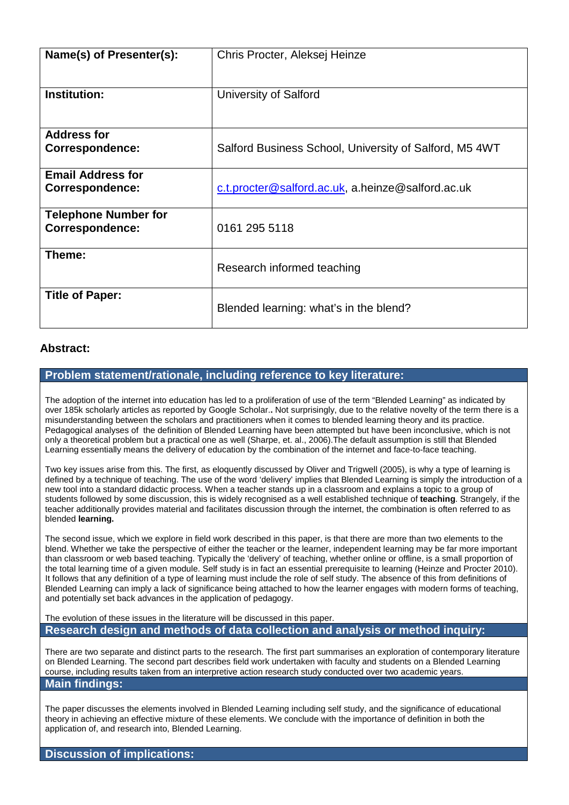| Name(s) of Presenter(s):    | Chris Procter, Aleksej Heinze                          |
|-----------------------------|--------------------------------------------------------|
|                             |                                                        |
| <b>Institution:</b>         | University of Salford                                  |
|                             |                                                        |
| <b>Address for</b>          |                                                        |
| <b>Correspondence:</b>      | Salford Business School, University of Salford, M5 4WT |
| <b>Email Address for</b>    |                                                        |
| <b>Correspondence:</b>      | c.t.procter@salford.ac.uk, a.heinze@salford.ac.uk      |
| <b>Telephone Number for</b> |                                                        |
| <b>Correspondence:</b>      | 0161 295 5118                                          |
| Theme:                      |                                                        |
|                             | Research informed teaching                             |
| <b>Title of Paper:</b>      |                                                        |
|                             | Blended learning: what's in the blend?                 |

## **Abstract:**

## **Problem statement/rationale, including reference to key literature:**

The adoption of the internet into education has led to a proliferation of use of the term "Blended Learning" as indicated by over 185k scholarly articles as reported by Google Scholar.**.** Not surprisingly, due to the relative novelty of the term there is a misunderstanding between the scholars and practitioners when it comes to blended learning theory and its practice. Pedagogical analyses of the definition of Blended Learning have been attempted but have been inconclusive, which is not only a theoretical problem but a practical one as well (Sharpe, et. al., 2006).The default assumption is still that Blended Learning essentially means the delivery of education by the combination of the internet and face-to-face teaching.

Two key issues arise from this. The first, as eloquently discussed by Oliver and Trigwell (2005), is why a type of learning is defined by a technique of teaching. The use of the word 'delivery' implies that Blended Learning is simply the introduction of a new tool into a standard didactic process. When a teacher stands up in a classroom and explains a topic to a group of students followed by some discussion, this is widely recognised as a well established technique of **teaching**. Strangely, if the teacher additionally provides material and facilitates discussion through the internet, the combination is often referred to as blended **learning.** 

The second issue, which we explore in field work described in this paper, is that there are more than two elements to the blend. Whether we take the perspective of either the teacher or the learner, independent learning may be far more important than classroom or web based teaching. Typically the 'delivery' of teaching, whether online or offline, is a small proportion of the total learning time of a given module. Self study is in fact an essential prerequisite to learning (Heinze and Procter 2010). It follows that any definition of a type of learning must include the role of self study. The absence of this from definitions of Blended Learning can imply a lack of significance being attached to how the learner engages with modern forms of teaching, and potentially set back advances in the application of pedagogy.

The evolution of these issues in the literature will be discussed in this paper. **Research design and methods of data collection and analysis or method inquiry:** 

There are two separate and distinct parts to the research. The first part summarises an exploration of contemporary literature on Blended Learning. The second part describes field work undertaken with faculty and students on a Blended Learning course, including results taken from an interpretive action research study conducted over two academic years. **Main findings:**

The paper discusses the elements involved in Blended Learning including self study, and the significance of educational theory in achieving an effective mixture of these elements. We conclude with the importance of definition in both the application of, and research into, Blended Learning.